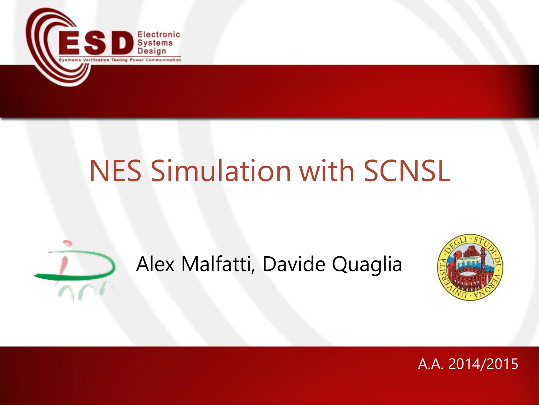

# NES Simulation with SCNSL

#### Alex Malfatti, Davide Quaglia



#### A.A. 2014/2015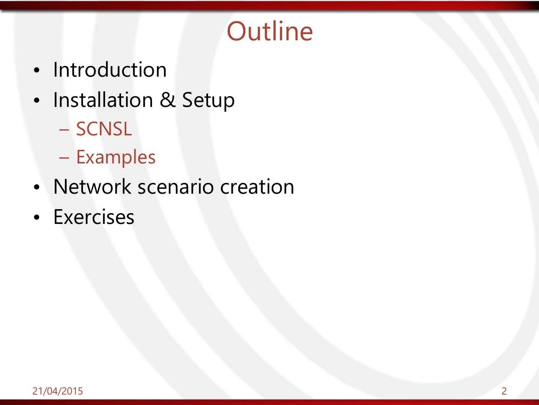#### **Outline**

- Introduction
- Installation & Setup
	- SCNSL
	- Examples
- Network scenario creation
- Exercises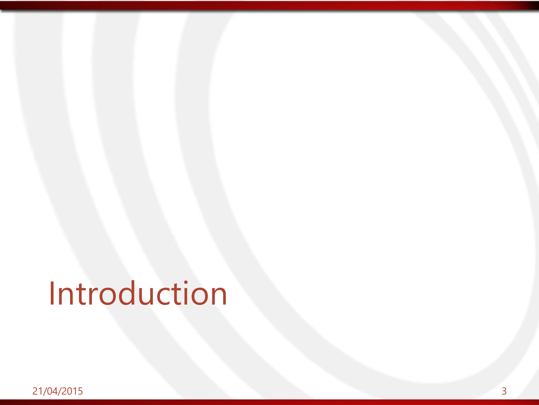# Introduction

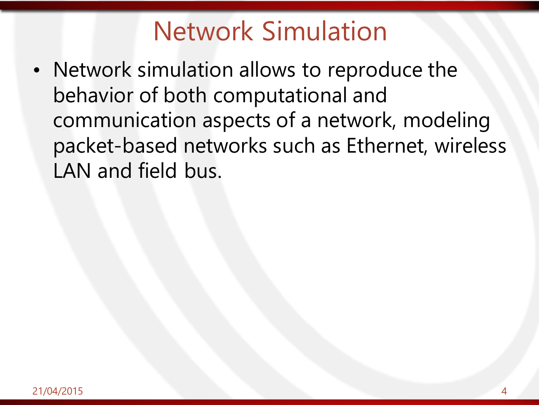#### Network Simulation

• Network simulation allows to reproduce the behavior of both computational and communication aspects of a network, modeling packet-based networks such as Ethernet, wireless LAN and field bus.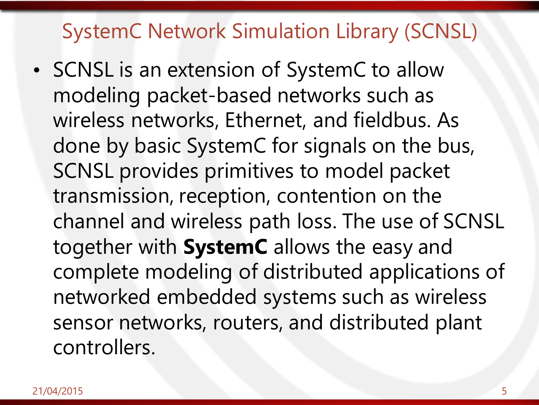#### SystemC Network Simulation Library (SCNSL)

• SCNSL is an extension of SystemC to allow modeling packet-based networks such as wireless networks, Ethernet, and fieldbus. As done by basic SystemC for signals on the bus, SCNSL provides primitives to model packet transmission, reception, contention on the channel and wireless path loss. The use of SCNSL together with **SystemC** allows the easy and complete modeling of distributed applications of networked embedded systems such as wireless sensor networks, routers, and distributed plant controllers.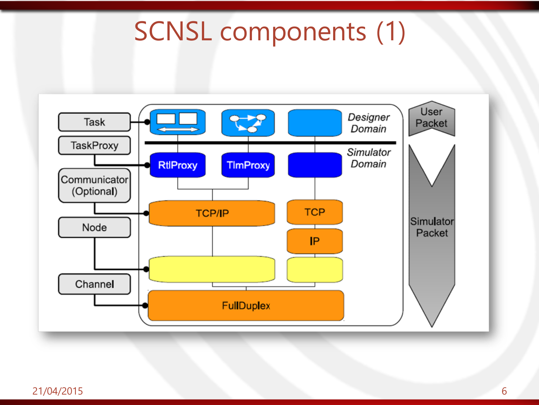#### SCNSL components (1)

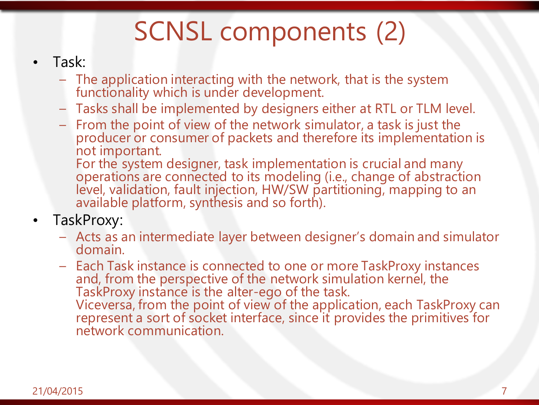## SCNSL components (2)

- Task:
	- The application interacting with the network, that is the system functionality which is under development.
	- Tasks shall be implemented by designers either at RTL or TLM level.
	- From the point of view of the network simulator, a task is just the producer or consumer of packets and therefore its implementation is not important.

For the system designer, task implementation is crucial and many operations are connected to its modeling (i.e., change of abstraction level, validation, fault injection, HW/SW partitioning, mapping to an available platform, synthesis and so forth).

- TaskProxy:
	- Acts as an intermediate layer between designer's domain and simulator domain.
	- Each Task instance is connected to one or more TaskProxy instances and, from the perspective of the network simulation kernel, the TaskProxy instance is the alter-ego of the task. Viceversa, from the point of view of the application, each TaskProxy can represent a sort of socket interface, since it provides the primitives for network communication.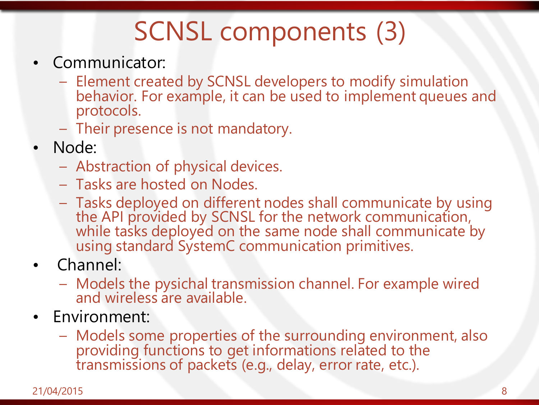## SCNSL components (3)

- Communicator:
	- Element created by SCNSL developers to modify simulation behavior. For example, it can be used to implement queues and protocols.
	- Their presence is not mandatory.
- Node:
	- Abstraction of physical devices.
	- Tasks are hosted on Nodes.
	- Tasks deployed on different nodes shall communicate by using the API provided by SCNSL for the network communication, while tasks deployed on the same node shall communicate by using standard SystemC communication primitives.
- Channel:
	- Models the pysichal transmission channel. For example wired and wireless are available.
- Environment:
	- Models some properties of the surrounding environment, also providing functions to get informations related to the transmissions of packets (e.g., delay, error rate, etc.).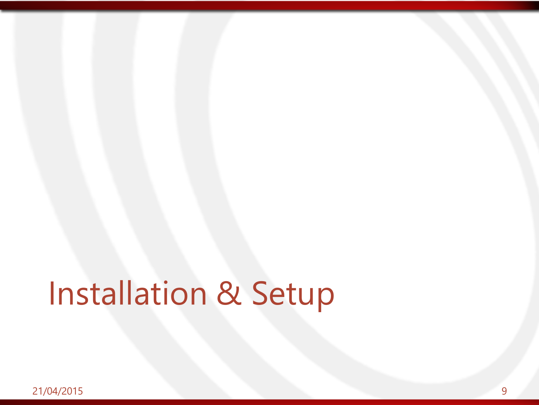# Installation & Setup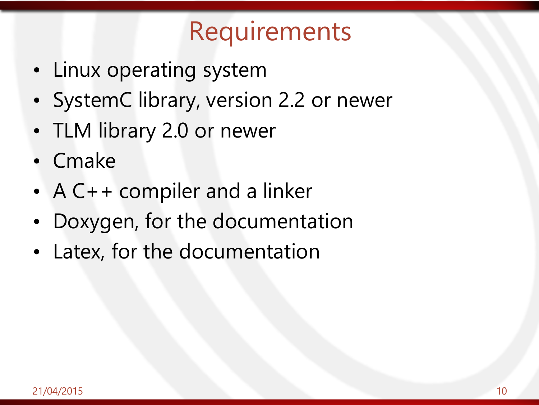#### **Requirements**

- Linux operating system
- SystemC library, version 2.2 or newer
- TLM library 2.0 or newer
- Cmake
- A C++ compiler and a linker
- Doxygen, for the documentation
- Latex, for the documentation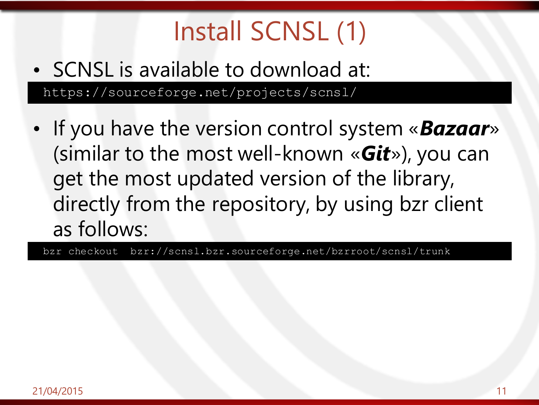# Install SCNSL (1)

- SCNSL is available to download at: https://sourceforge.net/projects/scnsl/
- If you have the version control system «*Bazaar*» (similar to the most well-known «*Git*»), you can get the most updated version of the library, directly from the repository, by using bzr client as follows:

bzr checkout bzr://scnsl.bzr.sourceforge.net/bzrroot/scnsl/trunk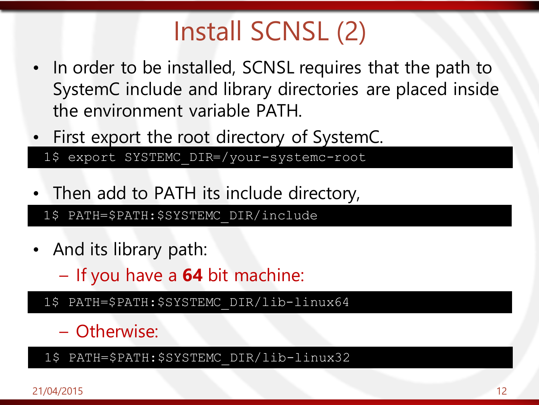## Install SCNSL (2)

- In order to be installed, SCNSL requires that the path to SystemC include and library directories are placed inside the environment variable PATH.
- First export the root directory of SystemC.

1\$ export SYSTEMC\_DIR=/your-systemc-root

• Then add to PATH its include directory,

1\$ PATH=\$PATH:\$SYSTEMC\_DIR/include

- And its library path:
	- If you have a **64** bit machine:
	- 1\$ PATH=\$PATH:\$SYSTEMC\_DIR/lib-linux64

#### – Otherwise:

1\$ PATH=\$PATH:\$SYSTEMC\_DIR/lib-linux32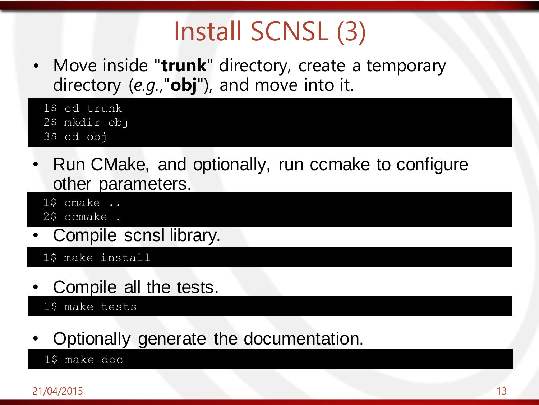## Install SCNSL (3)

• Move inside "**trunk**" directory, create a temporary directory (*e.g.*,"**obj**"), and move into it.

1\$ cd trunk 2\$ mkdir obj 3\$ cd obj

- Run CMake, and optionally, run ccmake to configure other parameters.
	- $15$  cmake  $\ldots$
	- 2\$ ccmake .
- Compile scnsl library.

1\$ make install

• Compile all the tests.

1\$ make tests

• Optionally generate the documentation.

1\$ make doc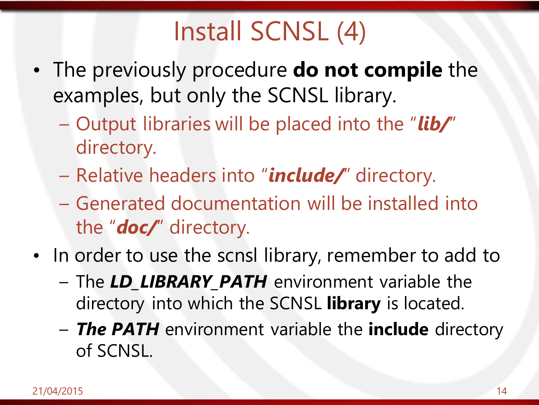### Install SCNSL (4)

- The previously procedure **do not compile** the examples, but only the SCNSL library.
	- Output libraries will be placed into the "*lib/*" directory.
	- Relative headers into "*include/*" directory.
	- Generated documentation will be installed into the "*doc/*" directory.
- In order to use the scnsl library, remember to add to
	- The *LD\_LIBRARY\_PATH* environment variable the directory into which the SCNSL **library** is located.
	- *The PATH* environment variable the **include** directory of SCNSL.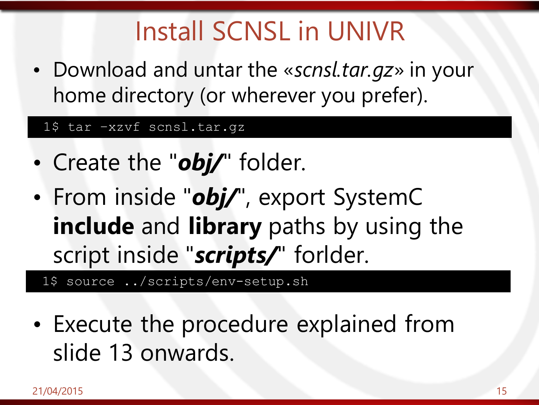#### Install SCNSL in UNIVR

• Download and untar the «*scnsl.tar.gz*» in your home directory (or wherever you prefer).

#### 1\$ tar –xzvf scnsl.tar.gz

- Create the "*obj*/" folder.
- From inside "*obj/*", export SystemC **include** and **library** paths by using the script inside "*scripts/*" forlder.

1\$ source ../scripts/env-setup.sh

• Execute the procedure explained from slide 13 onwards.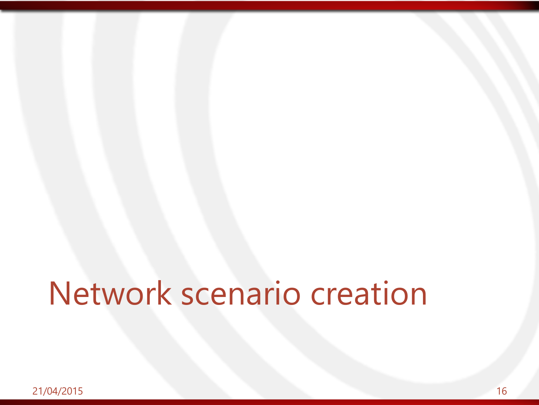# Network scenario creation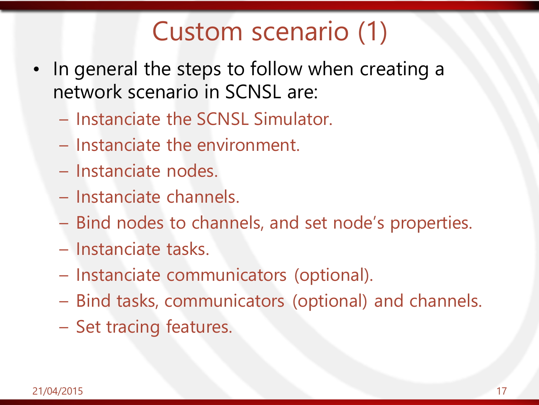#### Custom scenario (1)

- In general the steps to follow when creating a network scenario in SCNSL are:
	- Instanciate the SCNSL Simulator.
	- Instanciate the environment.
	- Instanciate nodes.
	- Instanciate channels.
	- Bind nodes to channels, and set node's properties.
	- Instanciate tasks.
	- Instanciate communicators (optional).
	- Bind tasks, communicators (optional) and channels.
	- Set tracing features.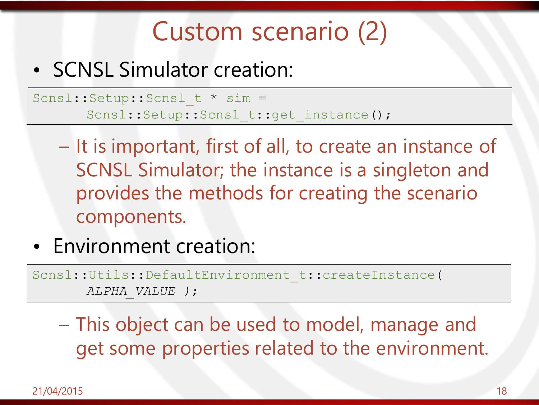#### Custom scenario (2)

#### • SCNSL Simulator creation:

Scnsl::Setup::Scnsl t \* sim = Scnsl::Setup::Scnsl t::get instance();

- It is important, first of all, to create an instance of SCNSL Simulator; the instance is a singleton and provides the methods for creating the scenario components.
- Environment creation:

Scnsl::Utils::DefaultEnvironment\_t::createInstance( *ALPHA\_VALUE )*;

– This object can be used to model, manage and get some properties related to the environment.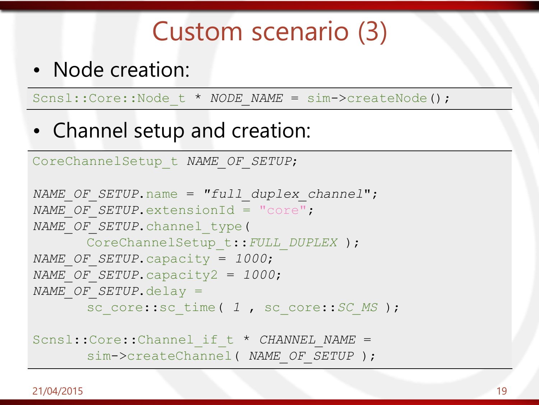#### Custom scenario (3)

• Node creation:

Scnsl::Core::Node t \* *NODE NAME* = sim->createNode();

• Channel setup and creation:

```
CoreChannelSetup_t NAME_OF_SETUP;
NAME_OF_SETUP.name = "full_duplex_channel";
NAME_OF_SETUP.extensionId = "core";
NAME_OF_SETUP.channel_type(
      CoreChannelSetup_t::FULL_DUPLEX );
NAME_OF_SETUP.capacity = 1000;
NAME_OF_SETUP.capacity2 = 1000;
NAME_OF_SETUP.delay =
      sc_core::sc_time( 1, sc_core::SC_MS );
```

```
Scnsl::Core::Channel if t * CHANNEL NAME =
      sim->createChannel( NAME_OF_SETUP );
```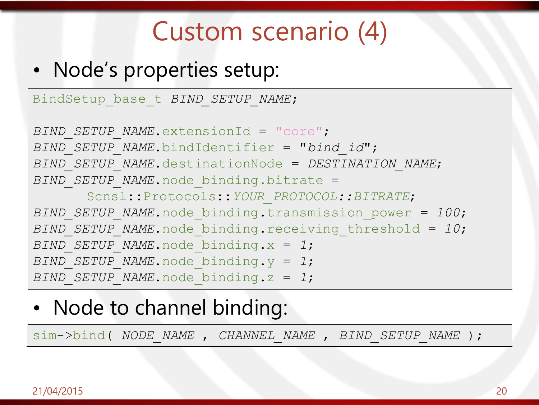#### Custom scenario (4)

#### • Node's properties setup:

BindSetup\_base\_t *BIND\_SETUP\_NAME*;

```
BIND_SETUP_NAME.extensionId = "core";
BIND_SETUP_NAME.bindIdentifier = "bind_id";
BIND_SETUP_NAME.destinationNode = DESTINATION_NAME;
BIND_SETUP_NAME.node_binding.bitrate =
      Scnsl::Protocols::YOUR_PROTOCOL::BITRATE;
BIND_SETUP_NAME.node_binding.transmission_power = 100;
BIND_SETUP_NAME.node_binding.receiving_threshold = 10;
BIND_SETUP_NAME.node_binding.x = 1;
BIND_SETUP_NAME.node_binding.y = 1;
BIND_SETUP_NAME.node_binding.z = 1;
```
#### • Node to channel binding:

sim->bind( *NODE\_NAME* , *CHANNEL\_NAME* , *BIND\_SETUP\_NAME* );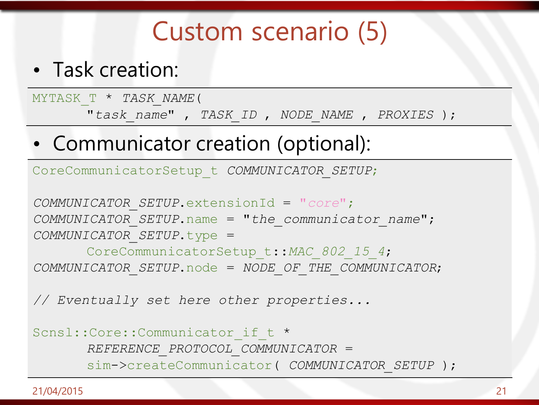#### Custom scenario (5)

• Task creation:

MYTASK\_T \* *TASK\_NAME*( "*task\_name*" , *TASK\_ID* , *NODE\_NAME* , *PROXIES* );

• Communicator creation (optional):

CoreCommunicatorSetup\_t *COMMUNICATOR\_SETUP*;

*COMMUNICATOR\_SETUP*.extensionId = "*core*"; *COMMUNICATOR\_SETUP*.name = "*the\_communicator\_name*"; *COMMUNICATOR\_SETUP*.type =

CoreCommunicatorSetup\_t::*MAC\_802\_15\_4*; *COMMUNICATOR\_SETUP*.node = *NODE\_OF\_THE\_COMMUNICATOR*;

*// Eventually set here other properties...*

Scnsl::Core::Communicator if t \* *REFERENCE\_PROTOCOL\_COMMUNICATOR* = sim->createCommunicator( *COMMUNICATOR\_SETUP* );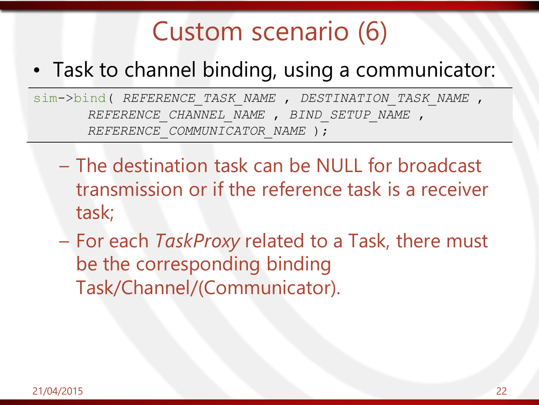#### Custom scenario (6)

#### • Task to channel binding, using a communicator:

sim->bind( *REFERENCE\_TASK\_NAME* , *DESTINATION\_TASK\_NAME* , *REFERENCE\_CHANNEL\_NAME* , *BIND\_SETUP\_NAME* , *REFERENCE*\_*COMMUNICATOR\_NAME* );

- The destination task can be NULL for broadcast transmission or if the reference task is a receiver task;
- For each *TaskProxy* related to a Task, there must be the corresponding binding Task/Channel/(Communicator).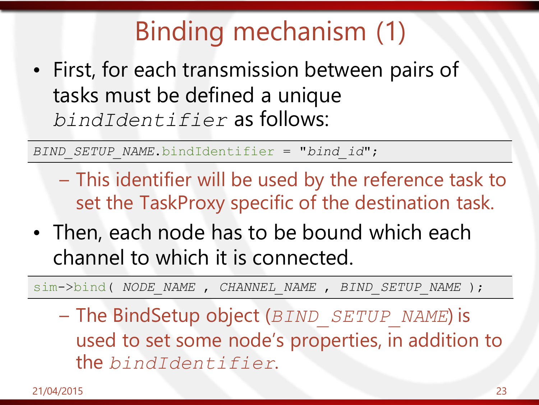## Binding mechanism (1)

• First, for each transmission between pairs of tasks must be defined a unique *bindIdentifier* as follows:

*BIND\_SETUP\_NAME*.bindIdentifier = "*bind\_id*";

- This identifier will be used by the reference task to set the TaskProxy specific of the destination task.
- Then, each node has to be bound which each channel to which it is connected.

sim->bind( *NODE\_NAME* , *CHANNEL\_NAME* , *BIND\_SETUP\_NAME* );

– The BindSetup object (*BIND\_SETUP\_NAME*) is used to set some node's properties, in addition to the *bindIdentifier*.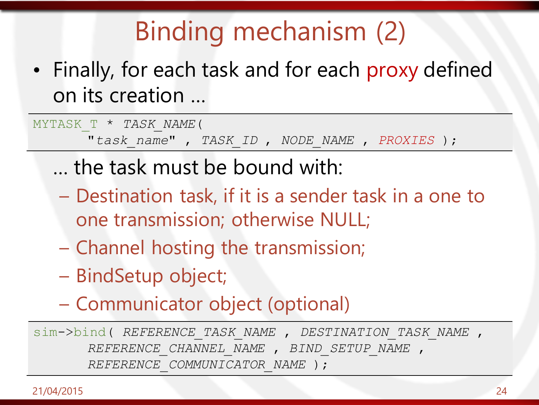# Binding mechanism (2)

• Finally, for each task and for each proxy defined on its creation …

MYTASK\_T \* *TASK\_NAME*(

"*task\_name*" , *TASK\_ID* , *NODE\_NAME* , *PROXIES* );

- … the task must be bound with:
- Destination task, if it is a sender task in a one to one transmission; otherwise NULL;
- Channel hosting the transmission;
- BindSetup object;
- Communicator object (optional)

sim->bind( *REFERENCE\_TASK\_NAME* , *DESTINATION\_TASK\_NAME* , *REFERENCE\_CHANNEL\_NAME* , *BIND\_SETUP\_NAME* , *REFERENCE*\_*COMMUNICATOR\_NAME* );

.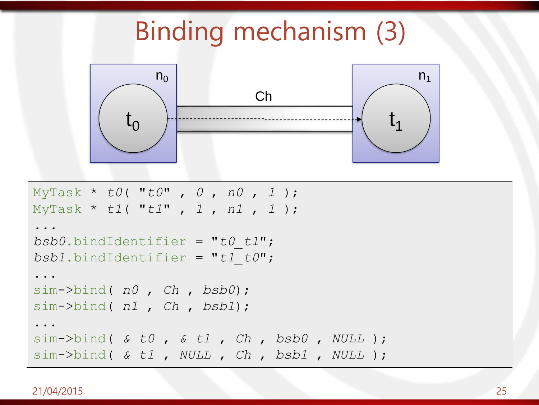#### Binding mechanism (3)



```
MyTask * t0( "t0" , 0 , n0 , 1 );
MyTask * t1( "t1" , 1 , n1 , 1 );
...
bsb0.bindIdentifier = "t0_t1";
bsb1.bindIdentifier = "t1_t0";
...
sim->bind( n0 , Ch , bsb0);
sim->bind( n1 , Ch , bsb1);
...
sim->bind( & t0 , & t1 , Ch , bsb0 , NULL );
sim->bind( & t1 , NULL , Ch , bsb1 , NULL );
```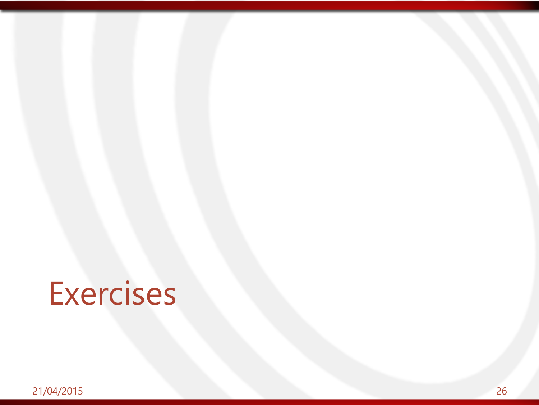# **Exercises**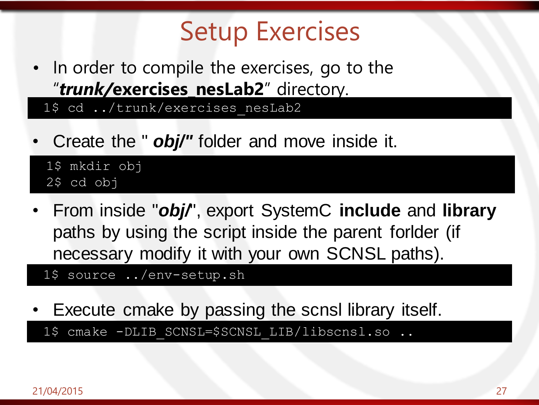#### Setup Exercises

• In order to compile the exercises, go to the "*trunk/***exercises\_nesLab2**" directory.

1\$ cd ../trunk/exercises nesLab2

• Create the " *obj/"* folder and move inside it.

1\$ mkdir obj 2\$ cd obj

• From inside "*obj/*", export SystemC **include** and **library**  paths by using the script inside the parent forlder (if necessary modify it with your own SCNSL paths).

1\$ source ../env-setup.sh

• Execute cmake by passing the scnsl library itself. 1\$ cmake -DLIB SCNSL=\$SCNSL LIB/libscnsl.so ..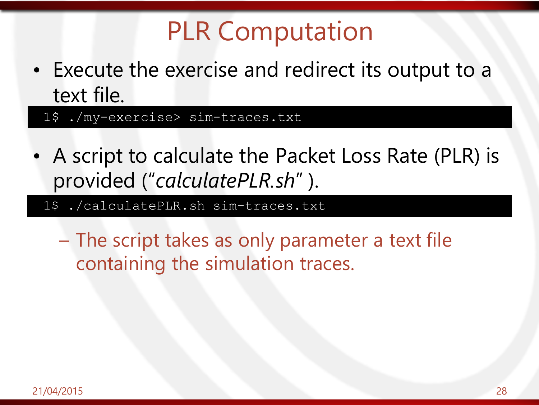#### PLR Computation

• Execute the exercise and redirect its output to a text file.

1\$ ./my-exercise> sim-traces.txt

- A script to calculate the Packet Loss Rate (PLR) is provided ("*calculatePLR.sh*" ).
	- 1\$ ./calculatePLR.sh sim-traces.txt

– The script takes as only parameter a text file containing the simulation traces.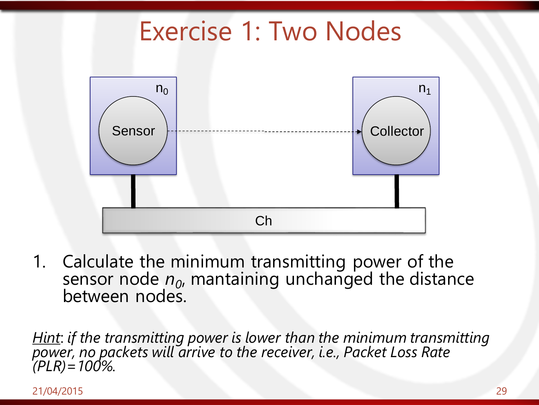#### Exercise 1: Two Nodes



1. Calculate the minimum transmitting power of the sensor node  $n_{0}$ , mantaining unchanged the distance between nodes.

*Hint*: *if the transmitting power is lower than the minimum transmitting power, no packets will arrive to the receiver, i.e., Packet Loss Rate (PLR)=100%.*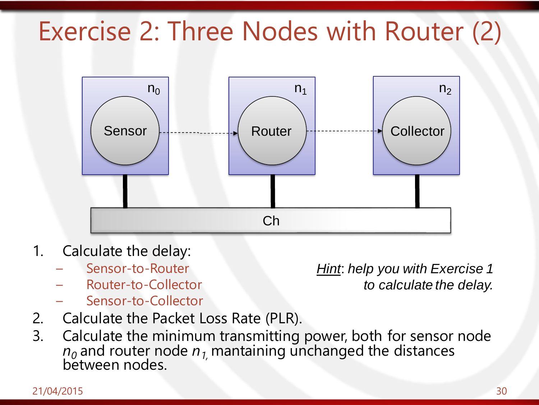#### Exercise 2: Three Nodes with Router (2)



- 1. Calculate the delay:
	- Sensor-to-Router
	- Router-to-Collector
	- Sensor-to-Collector

*Hint*: *help you with Exercise 1 to calculate the delay.*

- 2. Calculate the Packet Loss Rate (PLR).
- 3. Calculate the minimum transmitting power, both for sensor node  $n_o$  and router node  $n_{1,}$  mantaining unchanged the distances between nodes.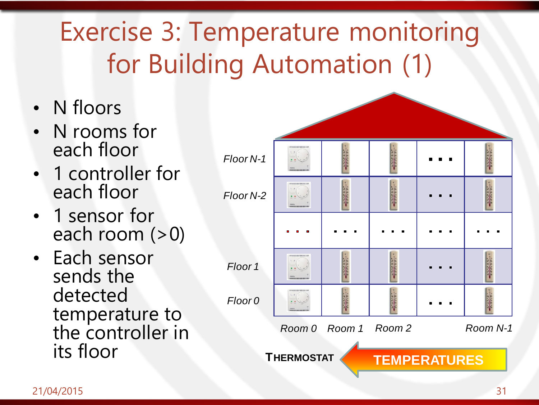# Exercise 3: Temperature monitoring for Building Automation (1)

- N floors
- N rooms for each floor
- 1 controller for each floor
- 1 sensor for each room  $(>0)$
- Each sensor sends the detected temperature to the controller in

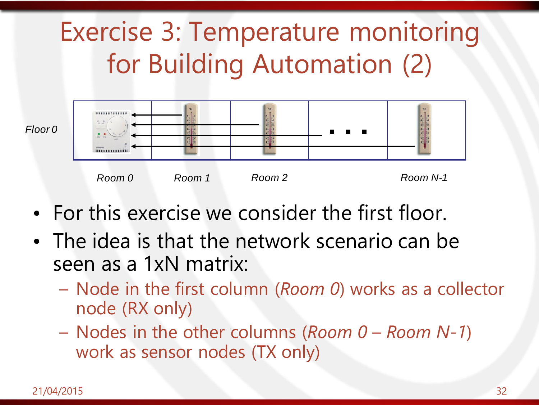## Exercise 3: Temperature monitoring for Building Automation (2)



- For this exercise we consider the first floor.
- The idea is that the network scenario can be seen as a 1xN matrix:
	- Node in the first column (*Room 0*) works as a collector node (RX only)
	- Nodes in the other columns (*Room 0 Room N-1*) work as sensor nodes (TX only)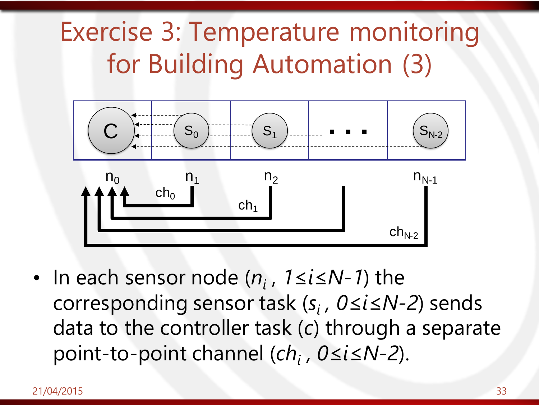#### Exercise 3: Temperature monitoring for Building Automation (3)



• In each sensor node (*n<sup>i</sup>* , *1≤i≤N-1*) the corresponding sensor task (*s<sup>i</sup> , 0≤i≤N-2*) sends data to the controller task (*c*) through a separate point-to-point channel (*ch<sup>i</sup> , 0≤i≤N-2*).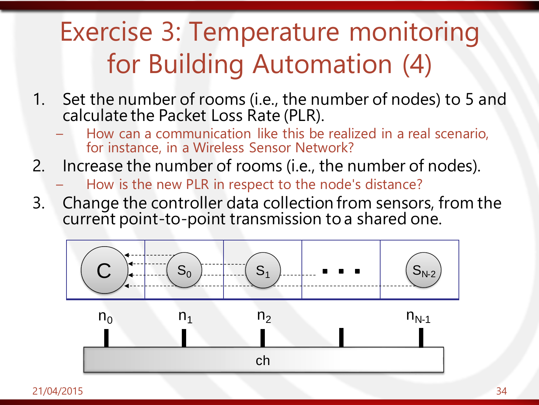## Exercise 3: Temperature monitoring for Building Automation (4)

- 1. Set the number of rooms (i.e., the number of nodes) to 5 and calculate the Packet Loss Rate (PLR).
	- How can a communication like this be realized in a real scenario, for instance, in a Wireless Sensor Network?
- 2. Increase the number of rooms (i.e., the number of nodes).
	- How is the new PLR in respect to the node's distance?
- 3. Change the controller data collection from sensors, from the current point-to-point transmission to a shared one.